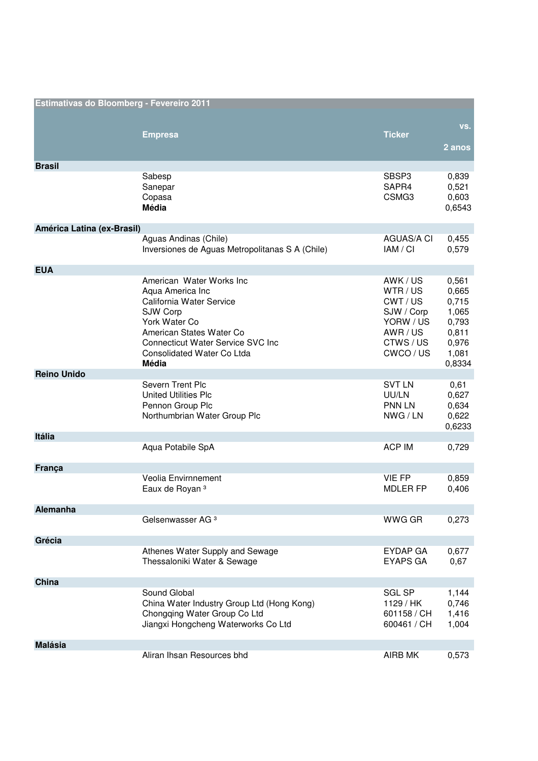| Estimativas do Bloomberg - Fevereiro 2011 |                                                                                                                                                                                                                       |                                                                                         |                                                                                |
|-------------------------------------------|-----------------------------------------------------------------------------------------------------------------------------------------------------------------------------------------------------------------------|-----------------------------------------------------------------------------------------|--------------------------------------------------------------------------------|
|                                           | <b>Empresa</b>                                                                                                                                                                                                        | <b>Ticker</b>                                                                           | VS.<br>2 anos                                                                  |
| <b>Brasil</b>                             |                                                                                                                                                                                                                       |                                                                                         |                                                                                |
|                                           | Sabesp<br>Sanepar<br>Copasa<br><b>Média</b>                                                                                                                                                                           | SBSP3<br>SAPR4<br>CSMG3                                                                 | 0,839<br>0,521<br>0,603<br>0,6543                                              |
| América Latina (ex-Brasil)                |                                                                                                                                                                                                                       |                                                                                         |                                                                                |
|                                           | Aguas Andinas (Chile)<br>Inversiones de Aguas Metropolitanas S A (Chile)                                                                                                                                              | <b>AGUAS/A CI</b><br>IAM / CI                                                           | 0,455<br>0,579                                                                 |
| <b>EUA</b>                                |                                                                                                                                                                                                                       |                                                                                         |                                                                                |
|                                           | American Water Works Inc<br>Aqua America Inc<br>California Water Service<br>SJW Corp<br>York Water Co<br>American States Water Co<br><b>Connecticut Water Service SVC Inc.</b><br>Consolidated Water Co Ltda<br>Média | AWK/US<br>WTR/US<br>CWT/US<br>SJW / Corp<br>YORW / US<br>AWR/US<br>CTWS/US<br>CWCO / US | 0,561<br>0,665<br>0,715<br>1,065<br>0,793<br>0,811<br>0,976<br>1,081<br>0,8334 |
| <b>Reino Unido</b>                        |                                                                                                                                                                                                                       |                                                                                         |                                                                                |
|                                           | Severn Trent Plc<br><b>United Utilities Plc</b><br>Pennon Group Plc<br>Northumbrian Water Group Plc                                                                                                                   | <b>SVT LN</b><br>UU/LN<br><b>PNN LN</b><br>NWG/LN                                       | 0,61<br>0,627<br>0,634<br>0,622<br>0,6233                                      |
| Itália                                    |                                                                                                                                                                                                                       |                                                                                         |                                                                                |
|                                           | Aqua Potabile SpA                                                                                                                                                                                                     | <b>ACP IM</b>                                                                           | 0,729                                                                          |
| França                                    |                                                                                                                                                                                                                       |                                                                                         |                                                                                |
|                                           | Veolia Envirnnement<br>Eaux de Royan <sup>3</sup>                                                                                                                                                                     | <b>VIE FP</b><br><b>MDLER FP</b>                                                        | 0,859<br>0,406                                                                 |
| Alemanha                                  |                                                                                                                                                                                                                       |                                                                                         |                                                                                |
|                                           | Gelsenwasser AG <sup>3</sup>                                                                                                                                                                                          | WWG GR                                                                                  | 0,273                                                                          |
| Grécia                                    |                                                                                                                                                                                                                       |                                                                                         |                                                                                |
|                                           | Athenes Water Supply and Sewage<br>Thessaloniki Water & Sewage                                                                                                                                                        | <b>EYDAP GA</b><br><b>EYAPS GA</b>                                                      | 0,677<br>0,67                                                                  |
| China                                     |                                                                                                                                                                                                                       |                                                                                         |                                                                                |
|                                           | Sound Global<br>China Water Industry Group Ltd (Hong Kong)<br>Chongqing Water Group Co Ltd<br>Jiangxi Hongcheng Waterworks Co Ltd                                                                                     | <b>SGL SP</b><br>1129 / HK<br>601158 / CH<br>600461 / CH                                | 1,144<br>0,746<br>1,416<br>1,004                                               |
| <b>Malásia</b>                            |                                                                                                                                                                                                                       |                                                                                         |                                                                                |
|                                           | Aliran Ihsan Resources bhd                                                                                                                                                                                            | AIRB MK                                                                                 | 0,573                                                                          |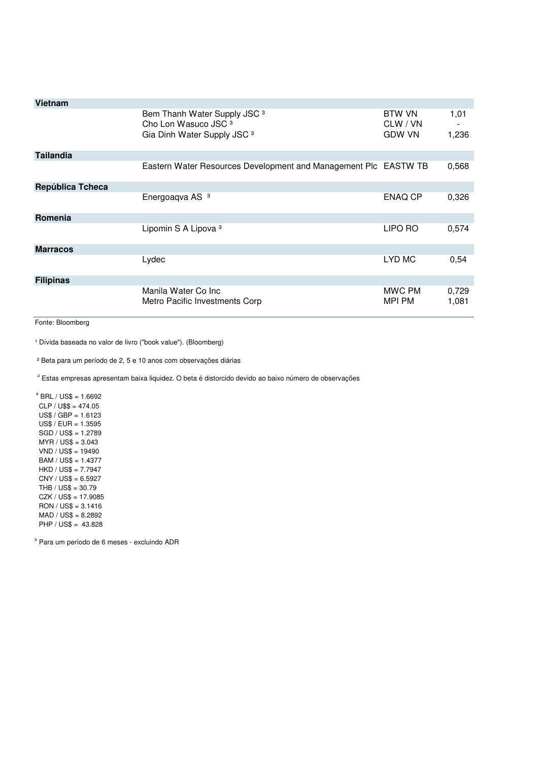| <b>Vietnam</b>   |                                                                                                                      |                                            |                |
|------------------|----------------------------------------------------------------------------------------------------------------------|--------------------------------------------|----------------|
|                  | Bem Thanh Water Supply JSC <sup>3</sup><br>Cho Lon Wasuco JSC <sup>3</sup><br>Gia Dinh Water Supply JSC <sup>3</sup> | <b>BTW VN</b><br>CLW / VN<br><b>GDW VN</b> | 1,01<br>1,236  |
| <b>Tailandia</b> |                                                                                                                      |                                            |                |
|                  | Eastern Water Resources Development and Management Plc EASTW TB                                                      |                                            | 0,568          |
| República Tcheca |                                                                                                                      |                                            |                |
|                  | Energoaqva AS <sup>3</sup>                                                                                           | ENAQ CP                                    | 0,326          |
| Romenia          |                                                                                                                      |                                            |                |
|                  | Lipomin S A Lipova <sup>3</sup>                                                                                      | LIPO RO                                    | 0,574          |
| <b>Marracos</b>  |                                                                                                                      |                                            |                |
|                  | Lydec                                                                                                                | LYD MC                                     | 0,54           |
| <b>Filipinas</b> |                                                                                                                      |                                            |                |
|                  | Manila Water Co Inc<br>Metro Pacific Investments Corp                                                                | MWC PM<br>MPI PM                           | 0,729<br>1,081 |

Fonte: Bloomberg

<sup>1</sup> Dívida baseada no valor de livro ("book value"). (Bloomberg)

² Beta para um período de 2, 5 e 10 anos com observações diárias

<sup>3</sup> Estas empresas apresentam baixa liquidez. O beta é distorcido devido ao baixo número de observações

 $4$  BRL / US\$ = 1.6692  $CLP / US$ = 474.05$  $US$ / GBP = 1.6123$  US\$ / EUR = 1.3595 SGD / US\$ = 1.2789 MYR / US\$ = 3.043 VND / US\$ = 19490  $BAM / US$ = 1.4377$  HKD / US\$ = 7.7947 CNY / US\$ = 6.5927 THB / US\$ = 30.79 CZK / US\$ = 17.9085 RON / US\$ = 3.1416 MAD / US\$ = 8.2892 PHP / US\$ = 43.828

5 Para um período de 6 meses - excluindo ADR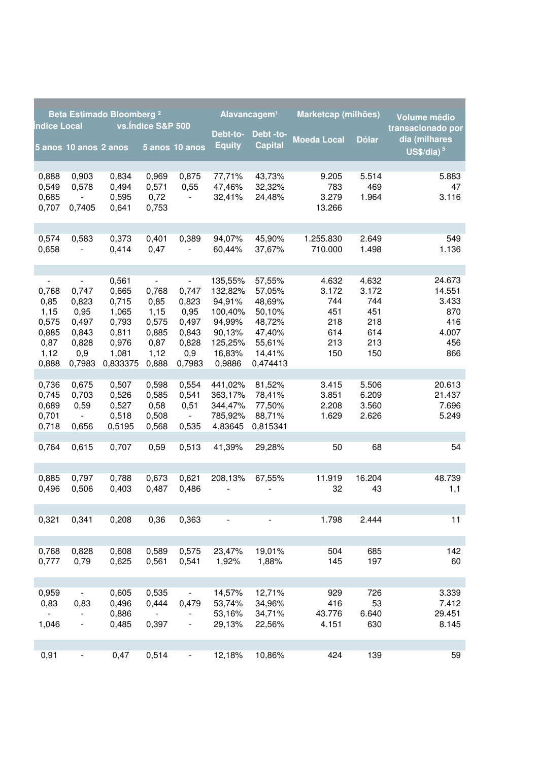| Beta Estimado Bloomberg <sup>2</sup>                             |                                                                                      | Alavancagem <sup>1</sup>                                                         |                                                                  | Marketcap (milhões)                                                                  |                                                                                            | Volume médio                                                                             |                                                          |                                                          |                                                                |
|------------------------------------------------------------------|--------------------------------------------------------------------------------------|----------------------------------------------------------------------------------|------------------------------------------------------------------|--------------------------------------------------------------------------------------|--------------------------------------------------------------------------------------------|------------------------------------------------------------------------------------------|----------------------------------------------------------|----------------------------------------------------------|----------------------------------------------------------------|
| ndice Local                                                      | 5 anos 10 anos 2 anos                                                                |                                                                                  | vs.Indice S&P 500                                                | 5 anos 10 anos                                                                       | Debt-to-<br><b>Equity</b>                                                                  | Debt-to-<br><b>Capital</b>                                                               | <b>Moeda Local</b>                                       | <b>Dólar</b>                                             | transacionado por<br>dia (milhares<br>US\$/dia) $5$            |
| 0,888<br>0,549<br>0,685<br>0,707                                 | 0,903<br>0,578<br>0,7405                                                             | 0,834<br>0,494<br>0,595<br>0,641                                                 | 0,969<br>0,571<br>0,72<br>0,753                                  | 0,875<br>0,55<br>$\blacksquare$                                                      | 77,71%<br>47,46%<br>32,41%                                                                 | 43,73%<br>32,32%<br>24,48%                                                               | 9.205<br>783<br>3.279<br>13.266                          | 5.514<br>469<br>1.964                                    | 5.883<br>47<br>3.116                                           |
| 0,574<br>0,658                                                   | 0,583                                                                                | 0,373<br>0,414                                                                   | 0,401<br>0,47                                                    | 0,389                                                                                | 94,07%<br>60,44%                                                                           | 45,90%<br>37,67%                                                                         | 1.255.830<br>710.000                                     | 2.649<br>1.498                                           | 549<br>1.136                                                   |
| 0,768<br>0,85<br>1,15<br>0,575<br>0,885<br>0,87<br>1,12<br>0,888 | $\blacksquare$<br>0,747<br>0,823<br>0,95<br>0,497<br>0,843<br>0,828<br>0,9<br>0,7983 | 0,561<br>0,665<br>0,715<br>1,065<br>0,793<br>0,811<br>0,976<br>1,081<br>0,833375 | 0,768<br>0,85<br>1,15<br>0,575<br>0,885<br>0,87<br>1,12<br>0,888 | $\blacksquare$<br>0,747<br>0,823<br>0,95<br>0,497<br>0,843<br>0,828<br>0,9<br>0,7983 | 135,55%<br>132,82%<br>94,91%<br>100,40%<br>94,99%<br>90,13%<br>125,25%<br>16,83%<br>0,9886 | 57,55%<br>57,05%<br>48,69%<br>50,10%<br>48,72%<br>47,40%<br>55,61%<br>14,41%<br>0,474413 | 4.632<br>3.172<br>744<br>451<br>218<br>614<br>213<br>150 | 4.632<br>3.172<br>744<br>451<br>218<br>614<br>213<br>150 | 24.673<br>14.551<br>3.433<br>870<br>416<br>4.007<br>456<br>866 |
| 0,736<br>0,745<br>0,689<br>0,701<br>0,718                        | 0,675<br>0,703<br>0,59<br>$\blacksquare$<br>0,656                                    | 0,507<br>0,526<br>0,527<br>0,518<br>0,5195                                       | 0,598<br>0,585<br>0,58<br>0,508<br>0,568                         | 0,554<br>0,541<br>0,51<br>$\sim$<br>0,535                                            | 441,02%<br>363,17%<br>344,47%<br>785,92%<br>4,83645                                        | 81,52%<br>78,41%<br>77,50%<br>88,71%<br>0,815341                                         | 3.415<br>3.851<br>2.208<br>1.629                         | 5.506<br>6.209<br>3.560<br>2.626                         | 20.613<br>21.437<br>7.696<br>5.249                             |
| 0,764                                                            | 0,615                                                                                | 0,707                                                                            | 0,59                                                             | 0,513                                                                                | 41,39%                                                                                     | 29,28%                                                                                   | 50                                                       | 68                                                       | 54                                                             |
| 0,885<br>0,496                                                   | 0,797<br>0,506                                                                       | 0,788<br>0,403                                                                   | 0,673<br>0,487                                                   | 0,621<br>0,486                                                                       | 208,13%                                                                                    | 67,55%                                                                                   | 11.919<br>32                                             | 16.204<br>43                                             | 48.739<br>1,1                                                  |
| 0,321                                                            | 0,341                                                                                | 0,208                                                                            | 0,36                                                             | 0,363                                                                                | $\overline{\phantom{0}}$                                                                   | $\qquad \qquad \blacksquare$                                                             | 1.798                                                    | 2.444                                                    | 11                                                             |
| 0,768<br>0,777                                                   | 0,828<br>0,79                                                                        | 0,608<br>0,625                                                                   | 0,589<br>0,561                                                   | 0,575<br>0,541                                                                       | 23,47%<br>1,92%                                                                            | 19,01%<br>1,88%                                                                          | 504<br>145                                               | 685<br>197                                               | 142<br>60                                                      |
| 0,959<br>0,83<br>1,046                                           | 0,83<br>$\blacksquare$                                                               | 0,605<br>0,496<br>0,886<br>0,485                                                 | 0,535<br>0,444<br>$\frac{1}{2}$<br>0,397                         | 0,479<br>$\overline{\phantom{0}}$                                                    | 14,57%<br>53,74%<br>53,16%<br>29,13%                                                       | 12,71%<br>34,96%<br>34,71%<br>22,56%                                                     | 929<br>416<br>43.776<br>4.151                            | 726<br>53<br>6.640<br>630                                | 3.339<br>7.412<br>29.451<br>8.145                              |
| 0,91                                                             | $\blacksquare$                                                                       | 0,47                                                                             | 0,514                                                            | $\overline{\phantom{0}}$                                                             | 12,18%                                                                                     | 10,86%                                                                                   | 424                                                      | 139                                                      | 59                                                             |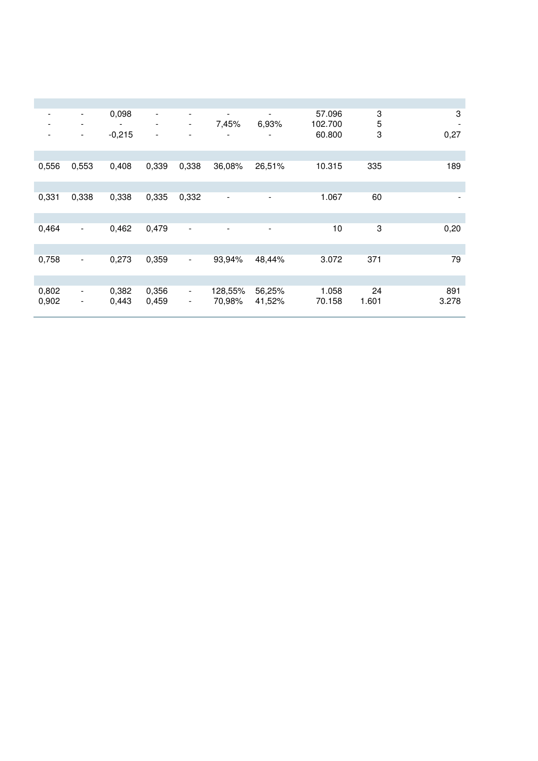| $\overline{\phantom{a}}$<br>$\overline{\phantom{a}}$ | $\blacksquare$<br>$\blacksquare$ | 0,098          | $\blacksquare$<br>$\blacksquare$ | $\overline{\phantom{0}}$<br>$\overline{\phantom{a}}$ | $\overline{\phantom{a}}$<br>7,45% | $\blacksquare$<br>6,93%  | 57.096<br>102.700 | 3<br>5      | 3<br>$\overline{\phantom{a}}$ |
|------------------------------------------------------|----------------------------------|----------------|----------------------------------|------------------------------------------------------|-----------------------------------|--------------------------|-------------------|-------------|-------------------------------|
|                                                      | $\blacksquare$                   | $-0,215$       | $\overline{\phantom{a}}$         | ۰                                                    |                                   |                          | 60.800            | 3           | 0,27                          |
|                                                      |                                  |                |                                  |                                                      |                                   |                          |                   |             |                               |
| 0,556                                                | 0,553                            | 0,408          | 0,339                            | 0,338                                                | 36,08%                            | 26,51%                   | 10.315            | 335         | 189                           |
|                                                      |                                  |                |                                  |                                                      |                                   |                          |                   |             |                               |
| 0,331                                                | 0,338                            | 0,338          | 0,335                            | 0,332                                                | $\qquad \qquad \blacksquare$      | $\overline{\phantom{0}}$ | 1.067             | 60          |                               |
|                                                      |                                  |                |                                  |                                                      |                                   |                          |                   |             |                               |
| 0,464                                                | $\blacksquare$                   | 0,462          | 0,479                            | $\blacksquare$                                       | $\overline{\phantom{a}}$          | $\overline{\phantom{a}}$ | 10                | 3           | 0,20                          |
|                                                      |                                  |                |                                  |                                                      |                                   |                          |                   |             |                               |
| 0,758                                                | $\blacksquare$                   | 0,273          | 0,359                            | $\blacksquare$                                       | 93,94%                            | 48,44%                   | 3.072             | 371         | 79                            |
|                                                      |                                  |                |                                  |                                                      |                                   |                          |                   |             |                               |
| 0,802<br>0,902                                       | $\blacksquare$<br>$\blacksquare$ | 0,382<br>0.443 | 0,356<br>0,459                   | $\blacksquare$<br>$\blacksquare$                     | 128,55%<br>70,98%                 | 56,25%<br>41,52%         | 1.058<br>70.158   | 24<br>1.601 | 891<br>3.278                  |